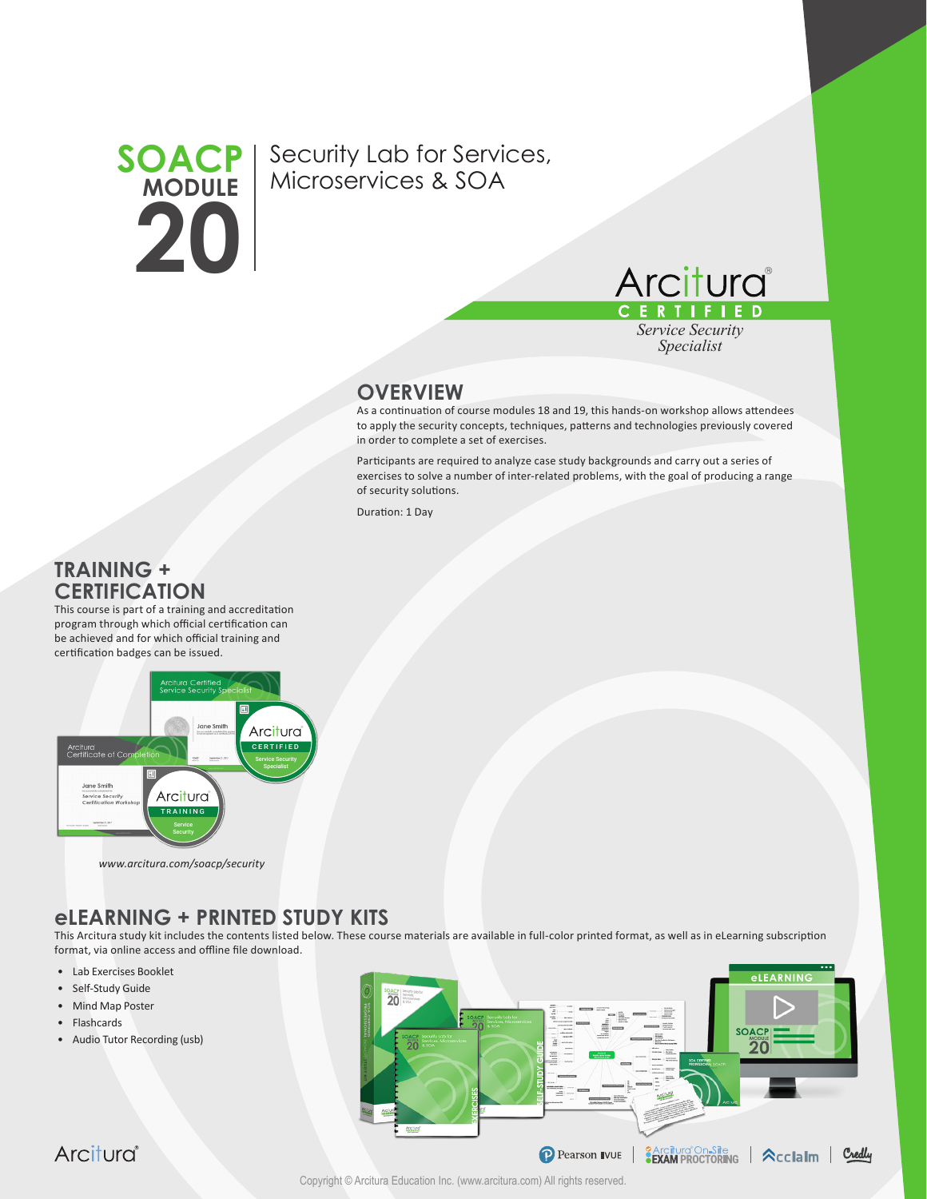

Security Lab for Services, Microservices & SOA



*Service Security Specialist*

### **OVERVIEW**

As a continuation of course modules 18 and 19, this hands-on workshop allows attendees to apply the security concepts, techniques, patterns and technologies previously covered in order to complete a set of exercises.

Participants are required to analyze case study backgrounds and carry out a series of exercises to solve a number of inter-related problems, with the goal of producing a range of security solutions.

Duration: 1 Day

## **TRAINING + CERTIFICATION**

This course is part of a training and accreditation program through which official certification can be achieved and for which official training and certification badges can be issued.



#### *www.arcitura.com/soacp/security*

# **eLEARNING + PRINTED STUDY KITS**

This Arcitura study kit includes the contents listed below. These course materials are available in full-color printed format, as well as in eLearning subscription format, via online access and offline file download.

- Lab Exercises Booklet
- Self-Study Guide
- Mind Map Poster
- Flashcards
- Audio Tutor Recording (usb)



Arcitura®